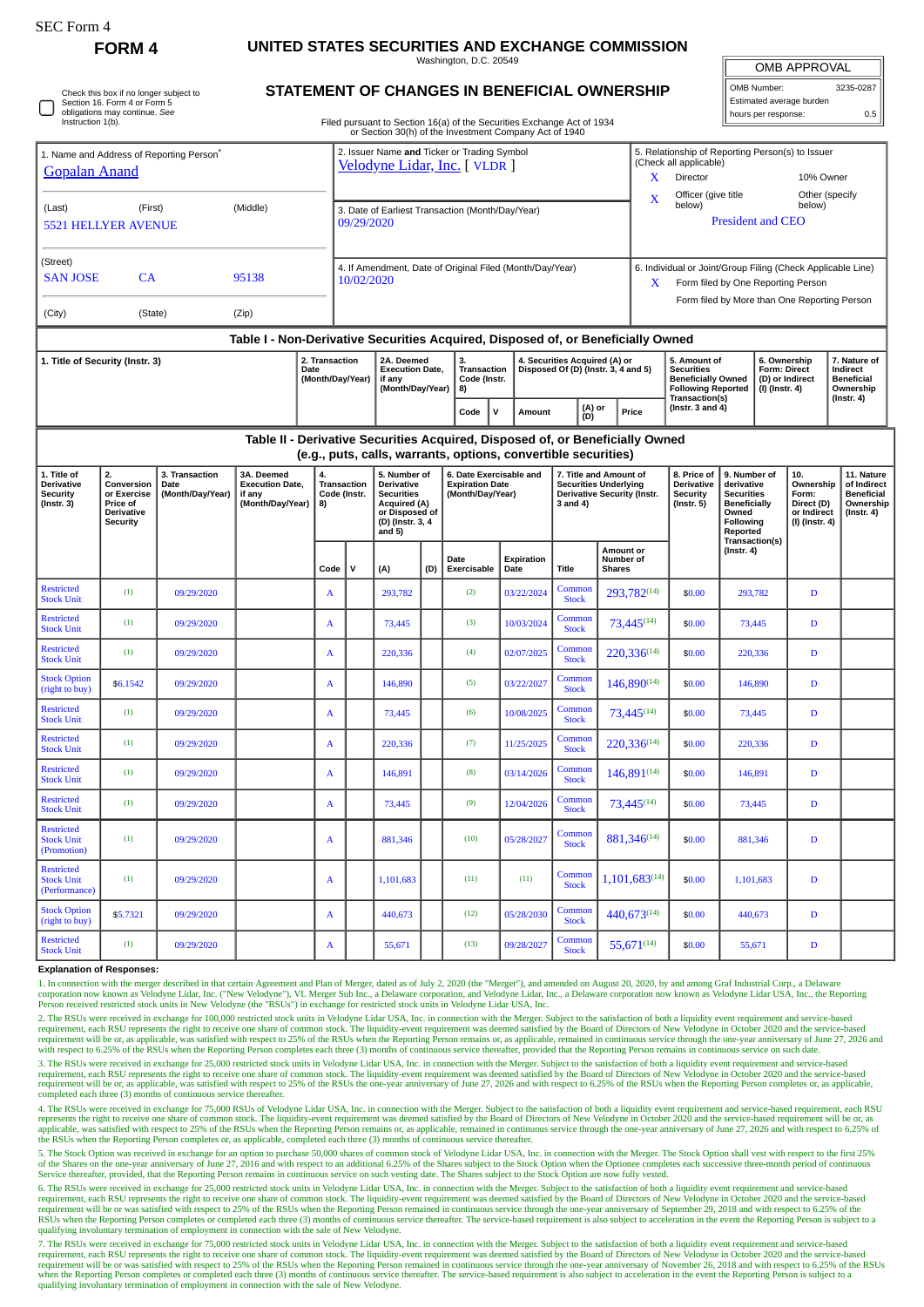| SEC Form 4                                                                                                                   |                                                                                     |                                                                            |                                                                                  |                                         |                                                                                                                               |                                                                                                                                 |                                                                    |                                                                       |                                         |                                                                                                                                                                            |                                                                      |                                                |                                                                                                                                                   |                                                                |                                                                                                                 |                        |                                                          |                                                                                 |
|------------------------------------------------------------------------------------------------------------------------------|-------------------------------------------------------------------------------------|----------------------------------------------------------------------------|----------------------------------------------------------------------------------|-----------------------------------------|-------------------------------------------------------------------------------------------------------------------------------|---------------------------------------------------------------------------------------------------------------------------------|--------------------------------------------------------------------|-----------------------------------------------------------------------|-----------------------------------------|----------------------------------------------------------------------------------------------------------------------------------------------------------------------------|----------------------------------------------------------------------|------------------------------------------------|---------------------------------------------------------------------------------------------------------------------------------------------------|----------------------------------------------------------------|-----------------------------------------------------------------------------------------------------------------|------------------------|----------------------------------------------------------|---------------------------------------------------------------------------------|
|                                                                                                                              | <b>FORM4</b>                                                                        | UNITED STATES SECURITIES AND EXCHANGE COMMISSION<br>Washington, D.C. 20549 |                                                                                  |                                         |                                                                                                                               |                                                                                                                                 |                                                                    |                                                                       |                                         |                                                                                                                                                                            |                                                                      |                                                |                                                                                                                                                   |                                                                | <b>OMB APPROVAL</b>                                                                                             |                        |                                                          |                                                                                 |
| Check this box if no longer subject to<br>Section 16. Form 4 or Form 5<br>obligations may continue. See<br>Instruction 1(b). |                                                                                     |                                                                            |                                                                                  |                                         | <b>STATEMENT OF CHANGES IN BENEFICIAL OWNERSHIP</b><br>Filed pursuant to Section 16(a) of the Securities Exchange Act of 1934 |                                                                                                                                 |                                                                    |                                                                       |                                         |                                                                                                                                                                            |                                                                      |                                                |                                                                                                                                                   | OMB Number:<br>Estimated average burden<br>hours per response: |                                                                                                                 |                        |                                                          | 3235-0287<br>0.5                                                                |
|                                                                                                                              |                                                                                     |                                                                            |                                                                                  |                                         |                                                                                                                               |                                                                                                                                 |                                                                    | or Section 30(h) of the Investment Company Act of 1940                |                                         |                                                                                                                                                                            |                                                                      |                                                |                                                                                                                                                   |                                                                |                                                                                                                 |                        |                                                          |                                                                                 |
| 1. Name and Address of Reporting Person <sup>®</sup><br><b>Gopalan Anand</b>                                                 |                                                                                     |                                                                            |                                                                                  |                                         | 2. Issuer Name and Ticker or Trading Symbol<br>Velodyne Lidar, Inc. [ VLDR ]                                                  |                                                                                                                                 |                                                                    |                                                                       |                                         |                                                                                                                                                                            |                                                                      |                                                | 5. Relationship of Reporting Person(s) to Issuer<br>(Check all applicable)<br>X<br>Director<br>10% Owner<br>Officer (give title<br>Other (specify |                                                                |                                                                                                                 |                        |                                                          |                                                                                 |
| (Last)<br>(First)<br>(Middle)<br><b>5521 HELLYER AVENUE</b>                                                                  |                                                                                     |                                                                            |                                                                                  |                                         | 3. Date of Earliest Transaction (Month/Day/Year)<br>09/29/2020                                                                |                                                                                                                                 |                                                                    |                                                                       |                                         |                                                                                                                                                                            |                                                                      |                                                | X<br>below)<br>below)<br><b>President and CEO</b>                                                                                                 |                                                                |                                                                                                                 |                        |                                                          |                                                                                 |
| (Street)<br><b>SAN JOSE</b><br>CA<br>95138                                                                                   |                                                                                     |                                                                            |                                                                                  |                                         | 4. If Amendment, Date of Original Filed (Month/Day/Year)<br>10/02/2020                                                        |                                                                                                                                 |                                                                    |                                                                       |                                         |                                                                                                                                                                            |                                                                      |                                                | 6. Individual or Joint/Group Filing (Check Applicable Line)<br>Form filed by One Reporting Person<br>X.                                           |                                                                |                                                                                                                 |                        |                                                          |                                                                                 |
| (City)<br>(State)<br>(Zip)                                                                                                   |                                                                                     |                                                                            |                                                                                  |                                         |                                                                                                                               |                                                                                                                                 |                                                                    |                                                                       |                                         |                                                                                                                                                                            |                                                                      |                                                |                                                                                                                                                   | Form filed by More than One Reporting Person                   |                                                                                                                 |                        |                                                          |                                                                                 |
|                                                                                                                              |                                                                                     |                                                                            | Table I - Non-Derivative Securities Acquired, Disposed of, or Beneficially Owned |                                         |                                                                                                                               |                                                                                                                                 |                                                                    |                                                                       |                                         |                                                                                                                                                                            |                                                                      |                                                |                                                                                                                                                   |                                                                |                                                                                                                 |                        |                                                          |                                                                                 |
| 1. Title of Security (Instr. 3)<br>2. Transaction<br>Date                                                                    |                                                                                     |                                                                            |                                                                                  |                                         | (Month/Day/Year)                                                                                                              |                                                                                                                                 | 2A. Deemed<br><b>Execution Date,</b><br>if any<br>(Month/Day/Year) |                                                                       | 3.<br>Transaction<br>Code (Instr.<br>8) |                                                                                                                                                                            | 4. Securities Acquired (A) or<br>Disposed Of (D) (Instr. 3, 4 and 5) |                                                | 5. Amount of<br><b>Securities</b><br><b>Beneficially Owned</b><br><b>Following Reported</b><br>Transaction(s)                                     |                                                                | 6. Ownership<br><b>Form: Direct</b><br>(I) (Instr. 4)                                                           |                        | (D) or Indirect                                          | 7. Nature of<br>Indirect<br><b>Beneficial</b><br>Ownership<br>$($ Instr. 4 $)$  |
|                                                                                                                              |                                                                                     |                                                                            |                                                                                  |                                         |                                                                                                                               |                                                                                                                                 |                                                                    |                                                                       | $\mathbf v$<br>Amount                   |                                                                                                                                                                            | (D)                                                                  | (A) or<br>Price                                |                                                                                                                                                   | (Instr. $3$ and $4$ )                                          |                                                                                                                 |                        |                                                          |                                                                                 |
|                                                                                                                              |                                                                                     |                                                                            | Table II - Derivative Securities Acquired, Disposed of, or Beneficially Owned    |                                         |                                                                                                                               |                                                                                                                                 |                                                                    |                                                                       |                                         |                                                                                                                                                                            |                                                                      |                                                |                                                                                                                                                   |                                                                |                                                                                                                 |                        |                                                          |                                                                                 |
| 1. Title of<br><b>Derivative</b><br><b>Security</b><br>$($ Instr. 3 $)$                                                      | 2.<br>Conversion<br>or Exercise<br>Price of<br><b>Derivative</b><br><b>Security</b> | 3. Transaction<br>Date<br>(Month/Day/Year)                                 | 3A. Deemed<br><b>Execution Date,</b><br>if any<br>(Month/Day/Year)               | 4.<br>Transaction<br>Code (Instr.<br>8) |                                                                                                                               | 5. Number of<br><b>Derivative</b><br><b>Securities</b><br><b>Acquired (A)</b><br>or Disposed of<br>(D) (Instr. 3, 4<br>and $5)$ |                                                                    | 6. Date Exercisable and<br><b>Expiration Date</b><br>(Month/Day/Year) |                                         | (e.g., puts, calls, warrants, options, convertible securities)<br>7. Title and Amount of<br><b>Securities Underlying</b><br><b>Derivative Security (Instr.</b><br>3 and 4) |                                                                      |                                                | 8. Price of<br><b>Derivative</b><br><b>Security</b><br>$($ Instr. 5 $)$                                                                           |                                                                | 9. Number of<br>derivative<br><b>Securities</b><br><b>Beneficially</b><br>Owned<br><b>Following</b><br>Reported | 10.<br>Form:           | Ownership<br>Direct (D)<br>or Indirect<br>(I) (Instr. 4) | 11. Nature<br>of Indirect<br><b>Beneficial</b><br>Ownership<br>$($ Instr. 4 $)$ |
|                                                                                                                              |                                                                                     |                                                                            |                                                                                  | Code                                    | $\mathbf{v}$                                                                                                                  | (A)                                                                                                                             | (D)                                                                | Date<br>Exercisable                                                   | Expiration<br>Date                      | Title                                                                                                                                                                      |                                                                      | <b>Amount or</b><br>Number of<br><b>Shares</b> |                                                                                                                                                   |                                                                | Transaction(s)<br>$($ Instr. 4 $)$                                                                              |                        |                                                          |                                                                                 |
| <b>Restricted</b><br><b>Stock Unit</b>                                                                                       | (1)                                                                                 | 09/29/2020                                                                 |                                                                                  | A                                       |                                                                                                                               | 293,782                                                                                                                         |                                                                    | (2)                                                                   | 03/22/2024                              |                                                                                                                                                                            | Common<br><b>Stock</b>                                               | 293,782(14)                                    |                                                                                                                                                   | \$0.00                                                         | 293,782                                                                                                         |                        | D                                                        |                                                                                 |
| <b>Restricted</b><br><b>Stock Unit</b>                                                                                       | (1)                                                                                 | 09/29/2020                                                                 |                                                                                  | A                                       |                                                                                                                               | 73,445                                                                                                                          |                                                                    | (3)                                                                   | 10/03/2024                              |                                                                                                                                                                            | Common<br><b>Stock</b>                                               | 73,445(14)                                     |                                                                                                                                                   | \$0.00                                                         | 73,445                                                                                                          |                        | D                                                        |                                                                                 |
| <b>Restricted</b><br><b>Stock Unit</b>                                                                                       | (1)                                                                                 | 09/29/2020                                                                 |                                                                                  | A                                       |                                                                                                                               | 220,336                                                                                                                         |                                                                    | (4)                                                                   | 02/07/2025                              |                                                                                                                                                                            | Common<br><b>Stock</b>                                               | 220,336(14)                                    |                                                                                                                                                   | \$0.00                                                         | 220,336                                                                                                         |                        | D                                                        |                                                                                 |
| <b>Stock Option</b><br>(right to buy)                                                                                        | \$6.1542                                                                            | 09/29/2020                                                                 |                                                                                  | $\mathbf{A}$                            |                                                                                                                               | 146,890                                                                                                                         |                                                                    | (5)                                                                   | 03/22/2027                              |                                                                                                                                                                            | Common<br><b>Stock</b>                                               | $146,890^{(14)}$                               |                                                                                                                                                   | \$0.00                                                         | 146,890                                                                                                         |                        | D                                                        |                                                                                 |
| <b>Restricted</b><br><b>Stock Unit</b>                                                                                       | (1)                                                                                 | 09/29/2020                                                                 |                                                                                  | A                                       |                                                                                                                               | 73,445                                                                                                                          |                                                                    | (6)                                                                   | 10/08/2025                              |                                                                                                                                                                            | Common<br><b>Stock</b>                                               | 73,445(14)                                     |                                                                                                                                                   | \$0.00                                                         |                                                                                                                 | 73,445<br>D            |                                                          |                                                                                 |
| <b>Restricted</b><br><b>Stock Unit</b>                                                                                       | (1)                                                                                 | 09/29/2020                                                                 |                                                                                  | A                                       |                                                                                                                               | 220,336                                                                                                                         |                                                                    | (7)                                                                   | 11/25/2025                              |                                                                                                                                                                            | Common<br><b>Stock</b>                                               | 220,336 <sup>(14)</sup>                        |                                                                                                                                                   | \$0.00                                                         |                                                                                                                 | $\mathbf D$<br>220,336 |                                                          |                                                                                 |
| <b>Restricted</b><br><b>Stock Unit</b>                                                                                       | (1)                                                                                 | 09/29/2020                                                                 |                                                                                  | A                                       |                                                                                                                               | 146,891                                                                                                                         |                                                                    | (8)                                                                   | 03/14/2026                              |                                                                                                                                                                            | Common<br><b>Stock</b>                                               | 146,891(14)                                    |                                                                                                                                                   | \$0.00                                                         | 146,891<br>D                                                                                                    |                        |                                                          |                                                                                 |
| <b>Restricted</b><br><b>Stock Unit</b>                                                                                       | (1)                                                                                 | 09/29/2020                                                                 |                                                                                  | A                                       |                                                                                                                               | 73,445                                                                                                                          |                                                                    | (9)                                                                   | 12/04/2026                              |                                                                                                                                                                            | Common<br><b>Stock</b>                                               | 73,445(14)                                     |                                                                                                                                                   | \$0.00                                                         | 73,445                                                                                                          |                        | $\mathbf D$                                              |                                                                                 |
| <b>Restricted</b><br><b>Stock Unit</b><br>(Promotion)                                                                        | (1)                                                                                 | 09/29/2020                                                                 |                                                                                  | A                                       |                                                                                                                               | 881,346                                                                                                                         |                                                                    | (10)                                                                  | 05/28/2027                              |                                                                                                                                                                            | Common<br><b>Stock</b>                                               | 881,346 <sup>(14)</sup>                        |                                                                                                                                                   | \$0.00                                                         |                                                                                                                 | 881,346<br>D           |                                                          |                                                                                 |

## requirement will be or, as applicable, was satisfied with respect to 25% of the RSUs when the Reporting Person remains or, as applicable, remained in continuous service through the one-year anniversary of June 27, 2026 and 3. The RSUs were received in exchange for 25,000 restricted stock units in Velodyne Lidar USA, Inc. in connection with the Merger. Subject to the satisfaction of both a liquidity event requirement and service-based require

1. In connection with the merger described in that certain Agreement and Plan of Merger, dated as of July 2, 2020 (the "Merger"), and amended on August 20, 2020, by and among Graf Industrial Corp., a Delaware corporation n 2. The RSUs were received in exchange for 100,000 restricted stock units in Velodyne Lidar USA, Inc. in connection with the Merger. Subject to the satisfaction of both a liquidity event requirement and service-based<br>requir

 $\begin{array}{|c|c|c|c|c|c|}\n\hline \text{Common} & 1,101,683^{(14)} & $0.00 & 1,101,683 & D \ \hline \end{array}$ 

 $\begin{array}{|l|c|c|c|c|c|}\n\hline \text{Common} & 440,673^{(14)} & $0.00 & 440,673 & D \end{array}$ 

 $\begin{array}{|l|c|c|c|c|c|c|c|} \hline \text{Common} & 55,671^{(14)} & $0.00 & $55,671 & D \ \hline \end{array}$ 

(1)  $0.9/29/2020$  A 1,101,683 (11) (11) Common Common

(1)  $0.9/29/2020$  A 55,671 (13) 09/28/2027 Common

Stock Option \$5.7321 09/29/2020 A 440,673 (12) 05/28/2030 Common Stock

Restricted Stock Unit (Performance)

Stock Option<br>(right to buy)

**Explanation of Responses:**

Restricted **Stock Unit** 

4. The RSUs were received in exchange for 75,000 RSUs of Velodyne Lidar USA, Inc. in connection with the Merger. Subject to the satisfaction of both a liquidity event requirement and service-based requirement, each RSU represents the right to receive one share of common stock. The liquidity-event requirement was deemed satisfied by the Board of Directors of New Velodyne in October 2020 and the service-based requirement will be or, as app the RSUs when the Reporting Person completes or, as applicable, completed each three (3) months of continuous service thereafter.

5. The Stock Option was received in exchange for an option to purchase 50,000 shares of common stock of Velodyne Lidar USA, Inc. in connection with the Merger. The Stock Option shall vest with respect to the first 25% of t Service thereafter, provided, that the Reporting Person remains in continuous service on such vesting date. The Shares subject to the Stock Option are now fully vested.

6. The RSUs were received in exchange for 25,000 restricted stock units in Velodyne Lidar USA, Inc. in connection with the Merger. Subject to the satisfaction of both a liquidity event requirement and service-based require requirement will be or was satisfied with respect to 25% of the RSUs when the Reporting Person remained in continuous service through the one-year anniversary of September 29, 2018 and with respect to 6.25% of the<br>RSUs whe qualifying involuntary termination of employment in connection with the sale of New Velodyne.

7. The RSUs were received in exchange for 75,000 restricted stock units in Velodyne Lidar USA, Inc. in connection with the Merger. Subject to the satisfaction of both a liquidity event requirement and service-based require when the Reporting Person completes or completed each three (3) months of continuous service thereafter. The service-based requirement is also subject to acceleration in the event the Reporting Person is subject to a<br>quali